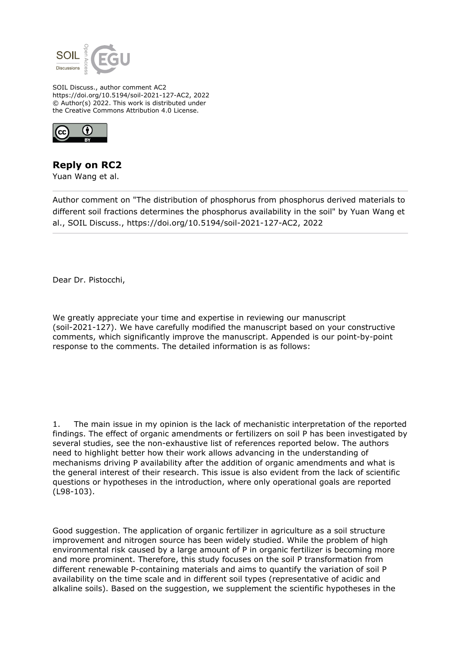

SOIL Discuss., author comment AC2 https://doi.org/10.5194/soil-2021-127-AC2, 2022 © Author(s) 2022. This work is distributed under the Creative Commons Attribution 4.0 License.



## **Reply on RC2**

Yuan Wang et al.

Author comment on "The distribution of phosphorus from phosphorus derived materials to different soil fractions determines the phosphorus availability in the soil" by Yuan Wang et al., SOIL Discuss., https://doi.org/10.5194/soil-2021-127-AC2, 2022

Dear Dr. Pistocchi,

We greatly appreciate your time and expertise in reviewing our manuscript (soil-2021-127). We have carefully modified the manuscript based on your constructive comments, which significantly improve the manuscript. Appended is our point-by-point response to the comments. The detailed information is as follows:

1. The main issue in my opinion is the lack of mechanistic interpretation of the reported findings. The effect of organic amendments or fertilizers on soil P has been investigated by several studies, see the non-exhaustive list of references reported below. The authors need to highlight better how their work allows advancing in the understanding of mechanisms driving P availability after the addition of organic amendments and what is the general interest of their research. This issue is also evident from the lack of scientific questions or hypotheses in the introduction, where only operational goals are reported (L98-103).

Good suggestion. The application of organic fertilizer in agriculture as a soil structure improvement and nitrogen source has been widely studied. While the problem of high environmental risk caused by a large amount of P in organic fertilizer is becoming more and more prominent. Therefore, this study focuses on the soil P transformation from different renewable P-containing materials and aims to quantify the variation of soil P availability on the time scale and in different soil types (representative of acidic and alkaline soils). Based on the suggestion, we supplement the scientific hypotheses in the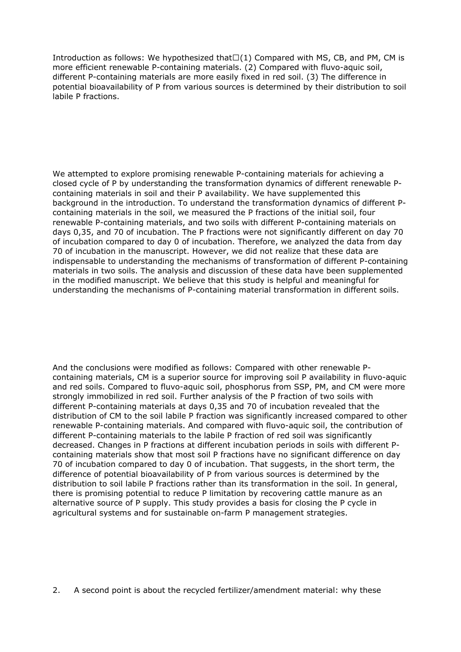Introduction as follows: We hypothesized that $\Box(1)$  Compared with MS, CB, and PM, CM is more efficient renewable P-containing materials. (2) Compared with fluvo-aquic soil, different P-containing materials are more easily fixed in red soil. (3) The difference in potential bioavailability of P from various sources is determined by their distribution to soil labile P fractions.

We attempted to explore promising renewable P-containing materials for achieving a closed cycle of P by understanding the transformation dynamics of different renewable Pcontaining materials in soil and their P availability. We have supplemented this background in the introduction. To understand the transformation dynamics of different Pcontaining materials in the soil, we measured the P fractions of the initial soil, four renewable P-containing materials, and two soils with different P-containing materials on days 0,35, and 70 of incubation. The P fractions were not significantly different on day 70 of incubation compared to day 0 of incubation. Therefore, we analyzed the data from day 70 of incubation in the manuscript. However, we did not realize that these data are indispensable to understanding the mechanisms of transformation of different P-containing materials in two soils. The analysis and discussion of these data have been supplemented in the modified manuscript. We believe that this study is helpful and meaningful for understanding the mechanisms of P-containing material transformation in different soils.

And the conclusions were modified as follows: Compared with other renewable Pcontaining materials, CM is a superior source for improving soil P availability in fluvo-aquic and red soils. Compared to fluvo-aquic soil, phosphorus from SSP, PM, and CM were more strongly immobilized in red soil. Further analysis of the P fraction of two soils with different P-containing materials at days 0,35 and 70 of incubation revealed that the distribution of CM to the soil labile P fraction was significantly increased compared to other renewable P-containing materials. And compared with fluvo-aquic soil, the contribution of different P-containing materials to the labile P fraction of red soil was significantly decreased. Changes in P fractions at different incubation periods in soils with different Pcontaining materials show that most soil P fractions have no significant difference on day 70 of incubation compared to day 0 of incubation. That suggests, in the short term, the difference of potential bioavailability of P from various sources is determined by the distribution to soil labile P fractions rather than its transformation in the soil. In general, there is promising potential to reduce P limitation by recovering cattle manure as an alternative source of P supply. This study provides a basis for closing the P cycle in agricultural systems and for sustainable on-farm P management strategies.

2. A second point is about the recycled fertilizer/amendment material: why these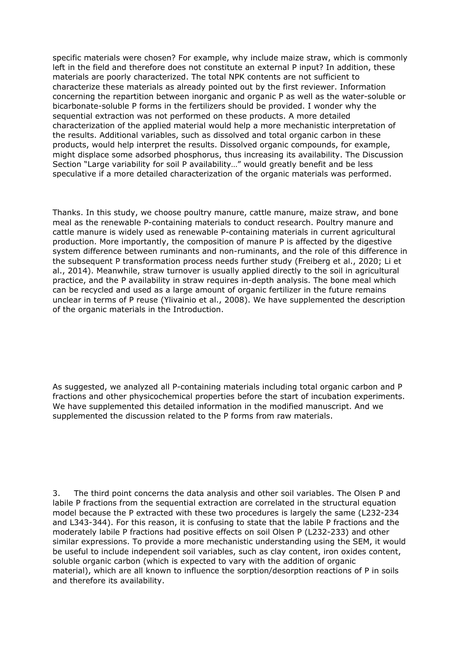specific materials were chosen? For example, why include maize straw, which is commonly left in the field and therefore does not constitute an external P input? In addition, these materials are poorly characterized. The total NPK contents are not sufficient to characterize these materials as already pointed out by the first reviewer. Information concerning the repartition between inorganic and organic P as well as the water-soluble or bicarbonate-soluble P forms in the fertilizers should be provided. I wonder why the sequential extraction was not performed on these products. A more detailed characterization of the applied material would help a more mechanistic interpretation of the results. Additional variables, such as dissolved and total organic carbon in these products, would help interpret the results. Dissolved organic compounds, for example, might displace some adsorbed phosphorus, thus increasing its availability. The Discussion Section "Large variability for soil P availability…" would greatly benefit and be less speculative if a more detailed characterization of the organic materials was performed.

Thanks. In this study, we choose poultry manure, cattle manure, maize straw, and bone meal as the renewable P-containing materials to conduct research. Poultry manure and cattle manure is widely used as renewable P-containing materials in current agricultural production. More importantly, the composition of manure P is affected by the digestive system difference between ruminants and non-ruminants, and the role of this difference in the subsequent P transformation process needs further study (Freiberg et al., 2020; Li et al., 2014). Meanwhile, straw turnover is usually applied directly to the soil in agricultural practice, and the P availability in straw requires in-depth analysis. The bone meal which can be recycled and used as a large amount of organic fertilizer in the future remains unclear in terms of P reuse (Ylivainio et al., 2008). We have supplemented the description of the organic materials in the Introduction.

As suggested, we analyzed all P-containing materials including total organic carbon and P fractions and other physicochemical properties before the start of incubation experiments. We have supplemented this detailed information in the modified manuscript. And we supplemented the discussion related to the P forms from raw materials.

3. The third point concerns the data analysis and other soil variables. The Olsen P and labile P fractions from the sequential extraction are correlated in the structural equation model because the P extracted with these two procedures is largely the same (L232-234 and L343-344). For this reason, it is confusing to state that the labile P fractions and the moderately labile P fractions had positive effects on soil Olsen P (L232-233) and other similar expressions. To provide a more mechanistic understanding using the SEM, it would be useful to include independent soil variables, such as clay content, iron oxides content, soluble organic carbon (which is expected to vary with the addition of organic material), which are all known to influence the sorption/desorption reactions of P in soils and therefore its availability.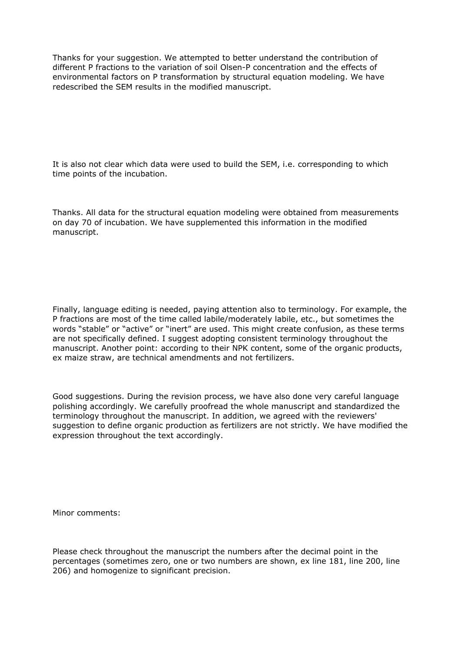Thanks for your suggestion. We attempted to better understand the contribution of different P fractions to the variation of soil Olsen-P concentration and the effects of environmental factors on P transformation by structural equation modeling. We have redescribed the SEM results in the modified manuscript.

It is also not clear which data were used to build the SEM, i.e. corresponding to which time points of the incubation.

Thanks. All data for the structural equation modeling were obtained from measurements on day 70 of incubation. We have supplemented this information in the modified manuscript.

Finally, language editing is needed, paying attention also to terminology. For example, the P fractions are most of the time called labile/moderately labile, etc., but sometimes the words "stable" or "active" or "inert" are used. This might create confusion, as these terms are not specifically defined. I suggest adopting consistent terminology throughout the manuscript. Another point: according to their NPK content, some of the organic products, ex maize straw, are technical amendments and not fertilizers.

Good suggestions. During the revision process, we have also done very careful language polishing accordingly. We carefully proofread the whole manuscript and standardized the terminology throughout the manuscript. In addition, we agreed with the reviewers' suggestion to define organic production as fertilizers are not strictly. We have modified the expression throughout the text accordingly.

Minor comments:

Please check throughout the manuscript the numbers after the decimal point in the percentages (sometimes zero, one or two numbers are shown, ex line 181, line 200, line 206) and homogenize to significant precision.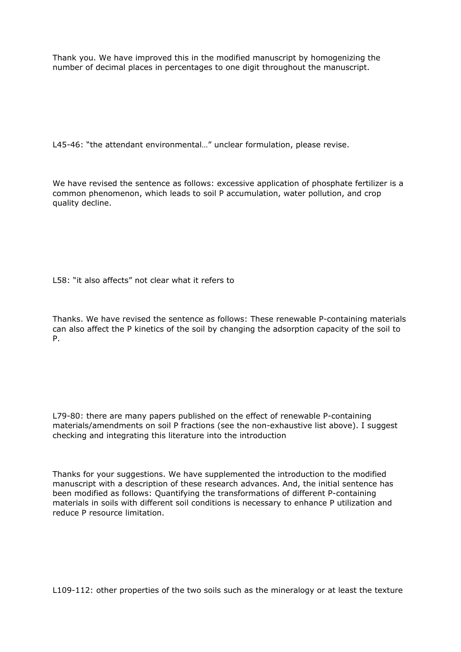Thank you. We have improved this in the modified manuscript by homogenizing the number of decimal places in percentages to one digit throughout the manuscript.

L45-46: "the attendant environmental…" unclear formulation, please revise.

We have revised the sentence as follows: excessive application of phosphate fertilizer is a common phenomenon, which leads to soil P accumulation, water pollution, and crop quality decline.

L58: "it also affects" not clear what it refers to

Thanks. We have revised the sentence as follows: These renewable P-containing materials can also affect the P kinetics of the soil by changing the adsorption capacity of the soil to P.

L79-80: there are many papers published on the effect of renewable P-containing materials/amendments on soil P fractions (see the non-exhaustive list above). I suggest checking and integrating this literature into the introduction

Thanks for your suggestions. We have supplemented the introduction to the modified manuscript with a description of these research advances. And, the initial sentence has been modified as follows: Quantifying the transformations of different P-containing materials in soils with different soil conditions is necessary to enhance P utilization and reduce P resource limitation.

L109-112: other properties of the two soils such as the mineralogy or at least the texture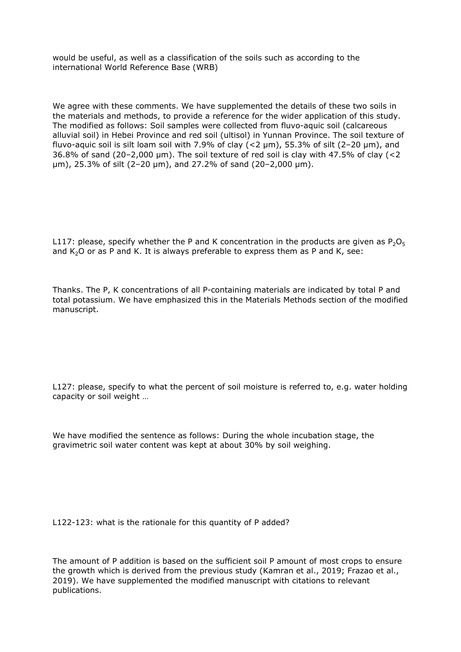would be useful, as well as a classification of the soils such as according to the international World Reference Base (WRB)

We agree with these comments. We have supplemented the details of these two soils in the materials and methods, to provide a reference for the wider application of this study. The modified as follows: Soil samples were collected from fluvo-aquic soil (calcareous alluvial soil) in Hebei Province and red soil (ultisol) in Yunnan Province. The soil texture of fluvo-aquic soil is silt loam soil with 7.9% of clay  $(<$ 2  $\mu$ m), 55.3% of silt (2-20  $\mu$ m), and 36.8% of sand (20–2,000 μm). The soil texture of red soil is clay with 47.5% of clay (<2 μm), 25.3% of silt (2–20 μm), and 27.2% of sand (20–2,000 μm).

L117: please, specify whether the P and K concentration in the products are given as  $P_2O_5$ and  $K<sub>2</sub>O$  or as P and K. It is always preferable to express them as P and K, see:

Thanks. The P, K concentrations of all P-containing materials are indicated by total P and total potassium. We have emphasized this in the Materials Methods section of the modified manuscript.

L127: please, specify to what the percent of soil moisture is referred to, e.g. water holding capacity or soil weight …

We have modified the sentence as follows: During the whole incubation stage, the gravimetric soil water content was kept at about 30% by soil weighing.

L122-123: what is the rationale for this quantity of P added?

The amount of P addition is based on the sufficient soil P amount of most crops to ensure the growth which is derived from the previous study (Kamran et al., 2019; Frazao et al., 2019). We have supplemented the modified manuscript with citations to relevant publications.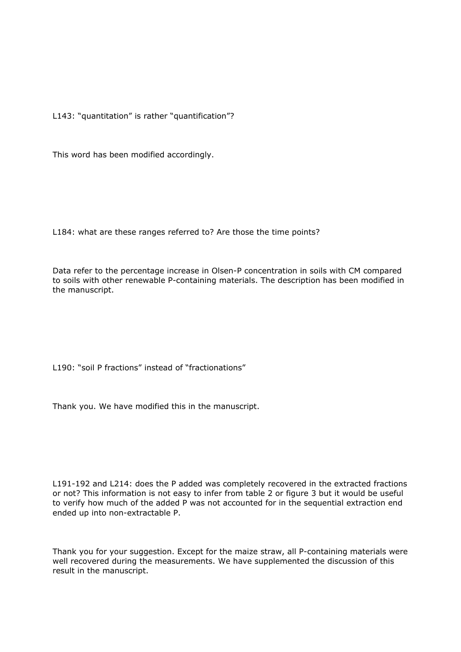L143: "quantitation" is rather "quantification"?

This word has been modified accordingly.

L184: what are these ranges referred to? Are those the time points?

Data refer to the percentage increase in Olsen-P concentration in soils with CM compared to soils with other renewable P-containing materials. The description has been modified in the manuscript.

L190: "soil P fractions" instead of "fractionations"

Thank you. We have modified this in the manuscript.

L191-192 and L214: does the P added was completely recovered in the extracted fractions or not? This information is not easy to infer from table 2 or figure 3 but it would be useful to verify how much of the added P was not accounted for in the sequential extraction end ended up into non-extractable P.

Thank you for your suggestion. Except for the maize straw, all P-containing materials were well recovered during the measurements. We have supplemented the discussion of this result in the manuscript.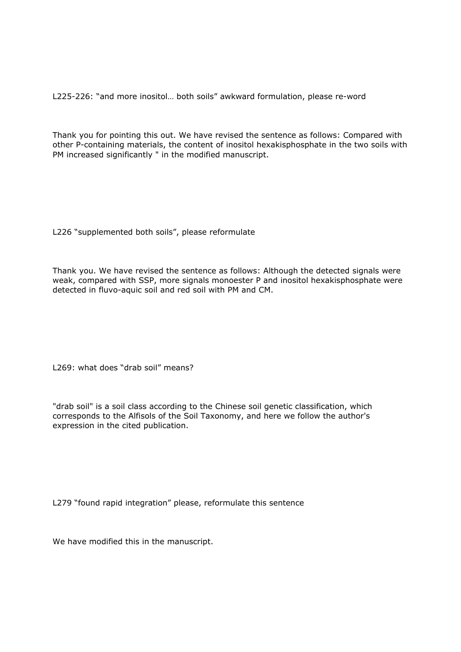L225-226: "and more inositol… both soils" awkward formulation, please re-word

Thank you for pointing this out. We have revised the sentence as follows: Compared with other P-containing materials, the content of inositol hexakisphosphate in the two soils with PM increased significantly " in the modified manuscript.

L226 "supplemented both soils", please reformulate

Thank you. We have revised the sentence as follows: Although the detected signals were weak, compared with SSP, more signals monoester P and inositol hexakisphosphate were detected in fluvo-aquic soil and red soil with PM and CM.

L269: what does "drab soil" means?

"drab soil" is a soil class according to the Chinese soil genetic classification, which corresponds to the Alfisols of the Soil Taxonomy, and here we follow the author's expression in the cited publication.

L279 "found rapid integration" please, reformulate this sentence

We have modified this in the manuscript.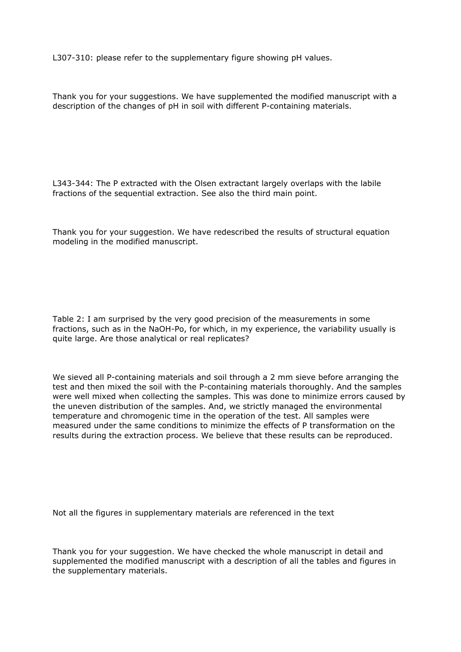L307-310: please refer to the supplementary figure showing pH values.

Thank you for your suggestions. We have supplemented the modified manuscript with a description of the changes of pH in soil with different P-containing materials.

L343-344: The P extracted with the Olsen extractant largely overlaps with the labile fractions of the sequential extraction. See also the third main point.

Thank you for your suggestion. We have redescribed the results of structural equation modeling in the modified manuscript.

Table 2: I am surprised by the very good precision of the measurements in some fractions, such as in the NaOH-Po, for which, in my experience, the variability usually is quite large. Are those analytical or real replicates?

We sieved all P-containing materials and soil through a 2 mm sieve before arranging the test and then mixed the soil with the P-containing materials thoroughly. And the samples were well mixed when collecting the samples. This was done to minimize errors caused by the uneven distribution of the samples. And, we strictly managed the environmental temperature and chromogenic time in the operation of the test. All samples were measured under the same conditions to minimize the effects of P transformation on the results during the extraction process. We believe that these results can be reproduced.

Not all the figures in supplementary materials are referenced in the text

Thank you for your suggestion. We have checked the whole manuscript in detail and supplemented the modified manuscript with a description of all the tables and figures in the supplementary materials.